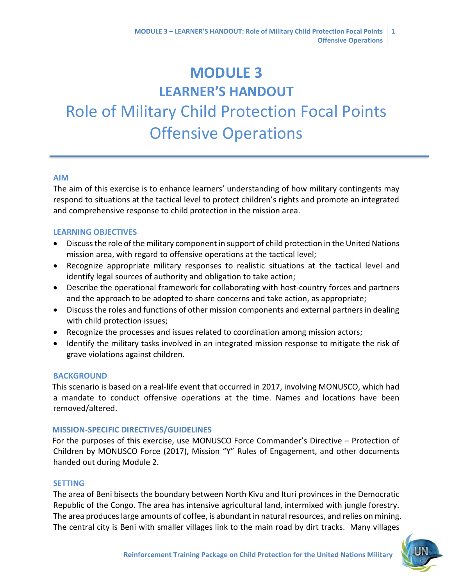# **MODULE 3 LEARNER'S HANDOUT** Role of Military Child Protection Focal Points Offensive Operations

#### **AIM**

The aim of this exercise is to enhance learners' understanding of how military contingents may respond to situations at the tactical level to protect children's rights and promote an integrated and comprehensive response to child protection in the mission area.

## **LEARNING OBJECTIVES**

- Discuss the role of the military component in support of child protection in the United Nations mission area, with regard to offensive operations at the tactical level;
- Recognize appropriate military responses to realistic situations at the tactical level and identify legal sources of authority and obligation to take action;
- Describe the operational framework for collaborating with host-country forces and partners and the approach to be adopted to share concerns and take action, as appropriate;
- Discuss the roles and functions of other mission components and external partners in dealing with child protection issues;
- Recognize the processes and issues related to coordination among mission actors;
- Identify the military tasks involved in an integrated mission response to mitigate the risk of grave violations against children.

## **BACKGROUND**

This scenario is based on a real-life event that occurred in 2017, involving MONUSCO, which had a mandate to conduct offensive operations at the time. Names and locations have been removed/altered.

#### **MISSION-SPECIFIC DIRECTIVES/GUIDELINES**

For the purposes of this exercise, use MONUSCO Force Commander's Directive – Protection of Children by MONUSCO Force (2017), Mission "Y" Rules of Engagement, and other documents handed out during Module 2.

#### **SETTING**

The area of Beni bisects the boundary between North Kivu and Ituri provinces in the Democratic Republic of the Congo. The area has intensive agricultural land, intermixed with jungle forestry. The area produces large amounts of coffee, is abundant in natural resources, and relies on mining. The central city is Beni with smaller villages link to the main road by dirt tracks. Many villages

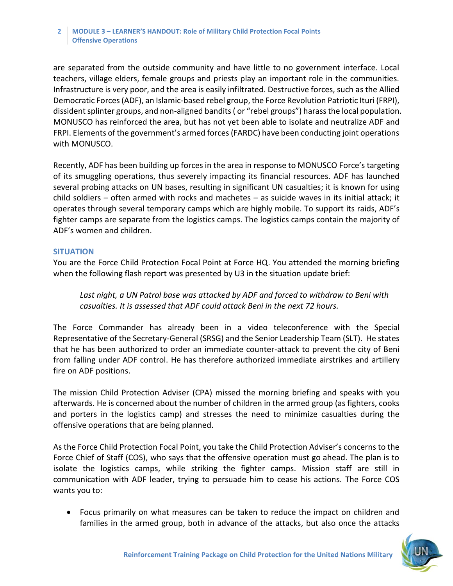#### **2 MODULE 3 – LEARNER'S HANDOUT: Role of Military Child Protection Focal Points Offensive Operations**

are separated from the outside community and have little to no government interface. Local teachers, village elders, female groups and priests play an important role in the communities. Infrastructure is very poor, and the area is easily infiltrated. Destructive forces, such as the Allied Democratic Forces (ADF), an Islamic-based rebel group, the Force Revolution Patriotic Ituri (FRPI), dissident splinter groups, and non-aligned bandits ( or "rebel groups") harass the local population. MONUSCO has reinforced the area, but has not yet been able to isolate and neutralize ADF and FRPI. Elements of the government's armed forces (FARDC) have been conducting joint operations with MONUSCO.

Recently, ADF has been building up forces in the area in response to MONUSCO Force's targeting of its smuggling operations, thus severely impacting its financial resources. ADF has launched several probing attacks on UN bases, resulting in significant UN casualties; it is known for using child soldiers – often armed with rocks and machetes – as suicide waves in its initial attack; it operates through several temporary camps which are highly mobile. To support its raids, ADF's fighter camps are separate from the logistics camps. The logistics camps contain the majority of ADF's women and children.

## **SITUATION**

You are the Force Child Protection Focal Point at Force HQ. You attended the morning briefing when the following flash report was presented by U3 in the situation update brief:

Last night, a UN Patrol base was attacked by ADF and forced to withdraw to Beni with *casualties. It is assessed that ADF could attack Beni in the next 72 hours.*

The Force Commander has already been in a video teleconference with the Special Representative of the Secretary-General (SRSG) and the Senior Leadership Team (SLT). He states that he has been authorized to order an immediate counter-attack to prevent the city of Beni from falling under ADF control. He has therefore authorized immediate airstrikes and artillery fire on ADF positions.

The mission Child Protection Adviser (CPA) missed the morning briefing and speaks with you afterwards. He is concerned about the number of children in the armed group (as fighters, cooks and porters in the logistics camp) and stresses the need to minimize casualties during the offensive operations that are being planned.

As the Force Child Protection Focal Point, you take the Child Protection Adviser's concerns to the Force Chief of Staff (COS), who says that the offensive operation must go ahead. The plan is to isolate the logistics camps, while striking the fighter camps. Mission staff are still in communication with ADF leader, trying to persuade him to cease his actions. The Force COS wants you to:

• Focus primarily on what measures can be taken to reduce the impact on children and families in the armed group, both in advance of the attacks, but also once the attacks

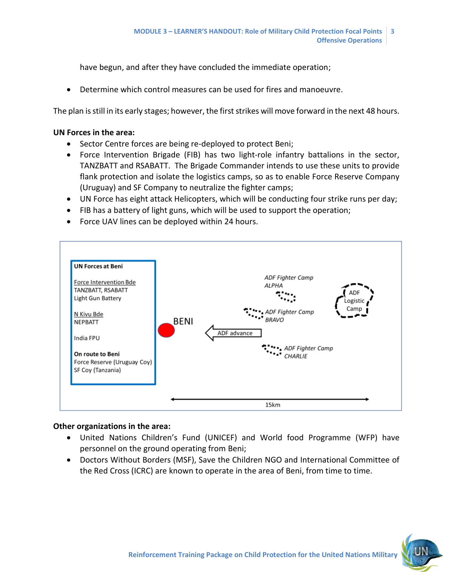have begun, and after they have concluded the immediate operation;

• Determine which control measures can be used for fires and manoeuvre.

The plan is still in its early stages; however, the first strikes will move forward in the next 48 hours.

## **UN Forces in the area:**

- Sector Centre forces are being re-deployed to protect Beni;
- Force Intervention Brigade (FIB) has two light-role infantry battalions in the sector, TANZBATT and RSABATT. The Brigade Commander intends to use these units to provide flank protection and isolate the logistics camps, so as to enable Force Reserve Company (Uruguay) and SF Company to neutralize the fighter camps;
- UN Force has eight attack Helicopters, which will be conducting four strike runs per day;
- FIB has a battery of light guns, which will be used to support the operation;
- Force UAV lines can be deployed within 24 hours.



## **Other organizations in the area:**

- United Nations Children's Fund (UNICEF) and World food Programme (WFP) have personnel on the ground operating from Beni;
- Doctors Without Borders (MSF), Save the Children NGO and International Committee of the Red Cross (ICRC) are known to operate in the area of Beni, from time to time.